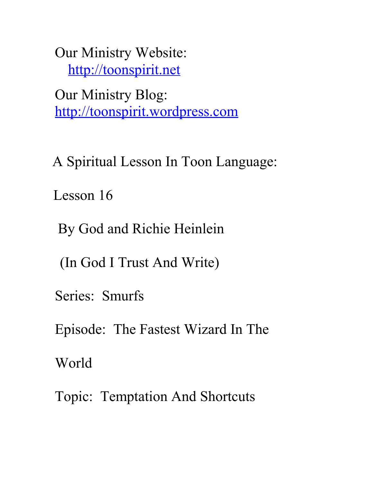Our Ministry Website: [http://toonspirit.net](http://toonspirit.net/)

Our Ministry Blog: [http://toonspirit.wordpress.com](http://toonspirit.wordpress.com/)

A Spiritual Lesson In Toon Language:

Lesson 16

By God and Richie Heinlein

(In God I Trust And Write)

Series: Smurfs

Episode: The Fastest Wizard In The

World

Topic: Temptation And Shortcuts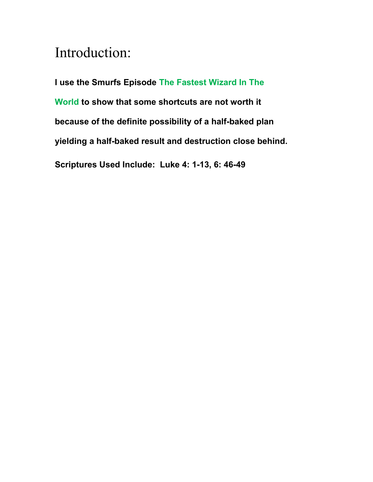## Introduction:

**I use the Smurfs Episode The Fastest Wizard In The World to show that some shortcuts are not worth it because of the definite possibility of a half-baked plan yielding a half-baked result and destruction close behind. Scriptures Used Include: Luke 4: 1-13, 6: 46-49**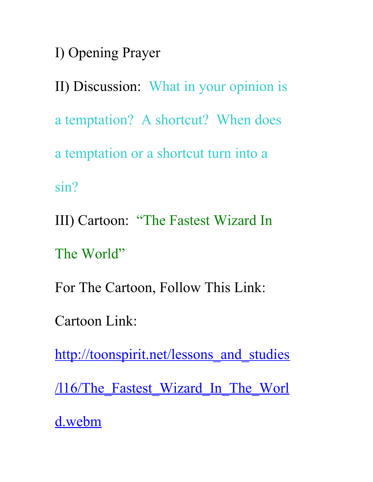I) Opening Prayer

II) Discussion: What in your opinion is a temptation? A shortcut? When does a temptation or a shortcut turn into a sin?

III) Cartoon: "The Fastest Wizard In

The World"

For The Cartoon, Follow This Link:

Cartoon Link:

http://toonspirit.net/lessons and studies

/116/The Fastest Wizard In The Worl

[d.webm](http://toonspirit.net/lessons_and_studies/l16/The_Fastest_Wizard_In_The_World.webm)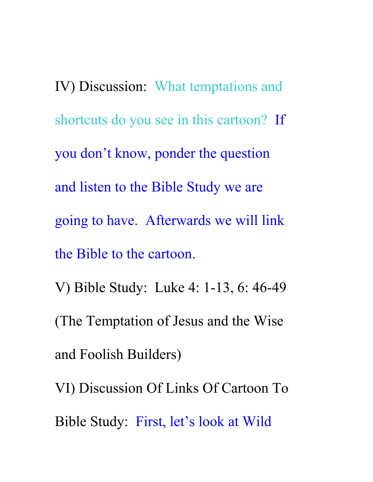IV) Discussion: What temptations and shortcuts do you see in this cartoon? If you don't know, ponder the question and listen to the Bible Study we are going to have. Afterwards we will link the Bible to the cartoon. V) Bible Study: Luke 4: 1-13, 6: 46-49 (The Temptation of Jesus and the Wise and Foolish Builders) VI) Discussion Of Links Of Cartoon To Bible Study: First, let's look at Wild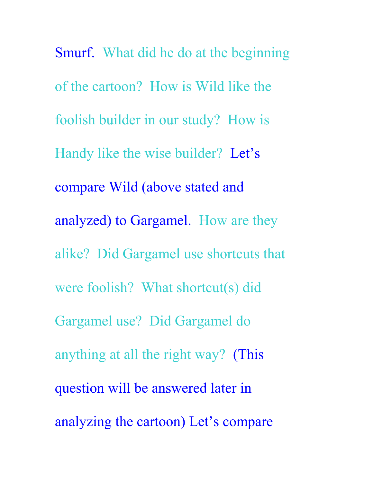Smurf. What did he do at the beginning of the cartoon? How is Wild like the foolish builder in our study? How is Handy like the wise builder? Let's compare Wild (above stated and analyzed) to Gargamel. How are they alike? Did Gargamel use shortcuts that were foolish? What shortcut(s) did Gargamel use? Did Gargamel do anything at all the right way? (This question will be answered later in analyzing the cartoon) Let's compare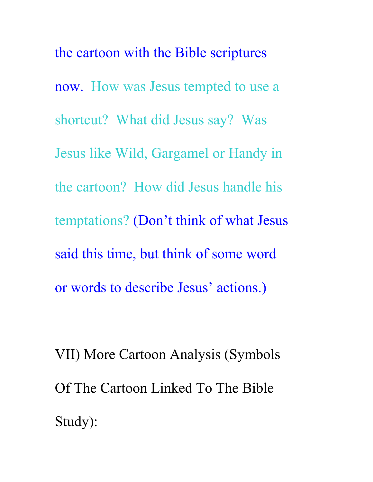the cartoon with the Bible scriptures now. How was Jesus tempted to use a shortcut? What did Jesus say? Was Jesus like Wild, Gargamel or Handy in the cartoon? How did Jesus handle his temptations? (Don't think of what Jesus said this time, but think of some word or words to describe Jesus' actions.)

VII) More Cartoon Analysis (Symbols Of The Cartoon Linked To The Bible Study):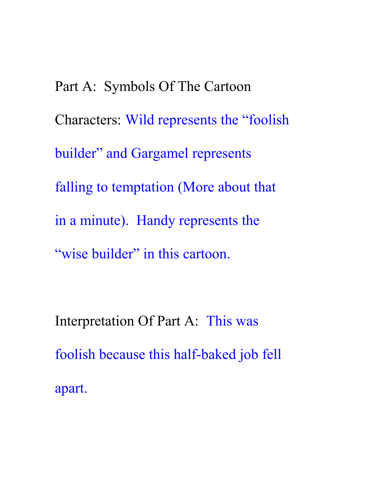Part A: Symbols Of The Cartoon Characters: Wild represents the "foolish builder" and Gargamel represents falling to temptation (More about that in a minute). Handy represents the "wise builder" in this cartoon.

Interpretation Of Part A: This was foolish because this half-baked job fell apart.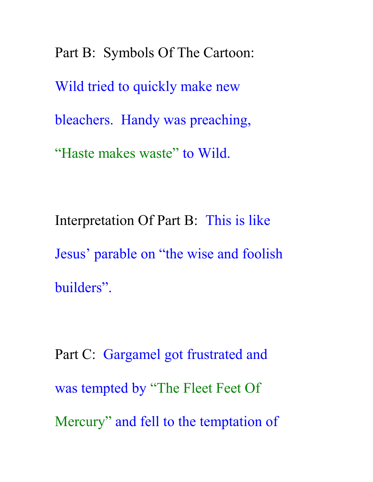Part B: Symbols Of The Cartoon: Wild tried to quickly make new bleachers. Handy was preaching, "Haste makes waste" to Wild.

Interpretation Of Part B: This is like Jesus' parable on "the wise and foolish builders".

Part C: Gargamel got frustrated and was tempted by "The Fleet Feet Of Mercury" and fell to the temptation of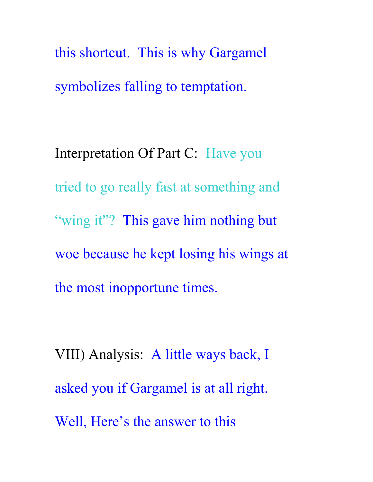this shortcut. This is why Gargamel symbolizes falling to temptation.

Interpretation Of Part C: Have you tried to go really fast at something and "wing it"? This gave him nothing but woe because he kept losing his wings at the most inopportune times.

VIII) Analysis: A little ways back, I asked you if Gargamel is at all right. Well, Here's the answer to this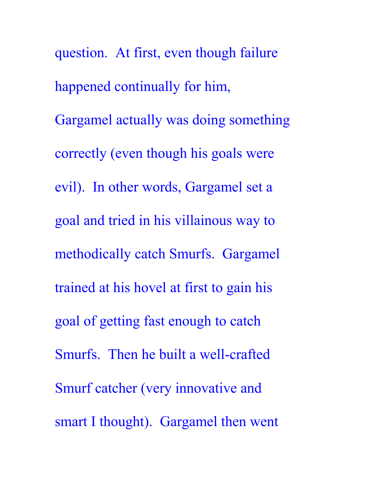question. At first, even though failure happened continually for him, Gargamel actually was doing something correctly (even though his goals were evil). In other words, Gargamel set a goal and tried in his villainous way to methodically catch Smurfs. Gargamel trained at his hovel at first to gain his goal of getting fast enough to catch Smurfs. Then he built a well-crafted Smurf catcher (very innovative and smart I thought). Gargamel then went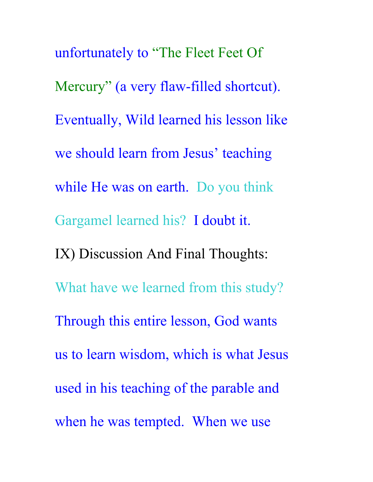unfortunately to "The Fleet Feet Of Mercury" (a very flaw-filled shortcut). Eventually, Wild learned his lesson like we should learn from Jesus' teaching while He was on earth. Do you think Gargamel learned his? I doubt it. IX) Discussion And Final Thoughts: What have we learned from this study? Through this entire lesson, God wants us to learn wisdom, which is what Jesus used in his teaching of the parable and when he was tempted. When we use